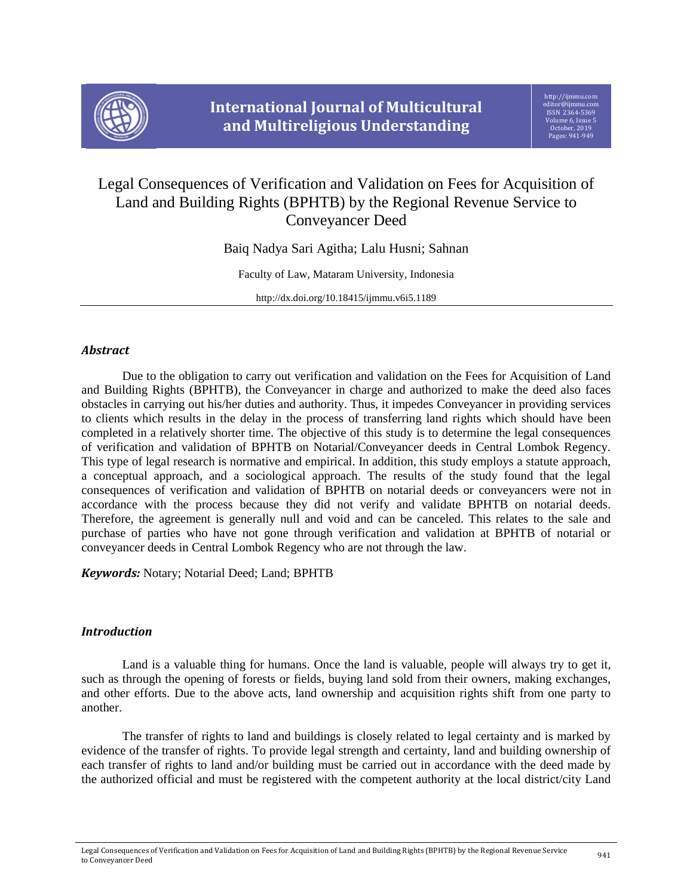

# Legal Consequences of Verification and Validation on Fees for Acquisition of Land and Building Rights (BPHTB) by the Regional Revenue Service to Conveyancer Deed

Baiq Nadya Sari Agitha; Lalu Husni; Sahnan

Faculty of Law, Mataram University, Indonesia

http://dx.doi.org/10.18415/ijmmu.v6i5.1189

## *Abstract*

Due to the obligation to carry out verification and validation on the Fees for Acquisition of Land and Building Rights (BPHTB), the Conveyancer in charge and authorized to make the deed also faces obstacles in carrying out his/her duties and authority. Thus, it impedes Conveyancer in providing services to clients which results in the delay in the process of transferring land rights which should have been completed in a relatively shorter time. The objective of this study is to determine the legal consequences of verification and validation of BPHTB on Notarial/Conveyancer deeds in Central Lombok Regency. This type of legal research is normative and empirical. In addition, this study employs a statute approach, a conceptual approach, and a sociological approach. The results of the study found that the legal consequences of verification and validation of BPHTB on notarial deeds or conveyancers were not in accordance with the process because they did not verify and validate BPHTB on notarial deeds. Therefore, the agreement is generally null and void and can be canceled. This relates to the sale and purchase of parties who have not gone through verification and validation at BPHTB of notarial or conveyancer deeds in Central Lombok Regency who are not through the law.

*Keywords:* Notary; Notarial Deed; Land; BPHTB

# *Introduction*

Land is a valuable thing for humans. Once the land is valuable, people will always try to get it, such as through the opening of forests or fields, buying land sold from their owners, making exchanges, and other efforts. Due to the above acts, land ownership and acquisition rights shift from one party to another.

The transfer of rights to land and buildings is closely related to legal certainty and is marked by evidence of the transfer of rights. To provide legal strength and certainty, land and building ownership of each transfer of rights to land and/or building must be carried out in accordance with the deed made by the authorized official and must be registered with the competent authority at the local district/city Land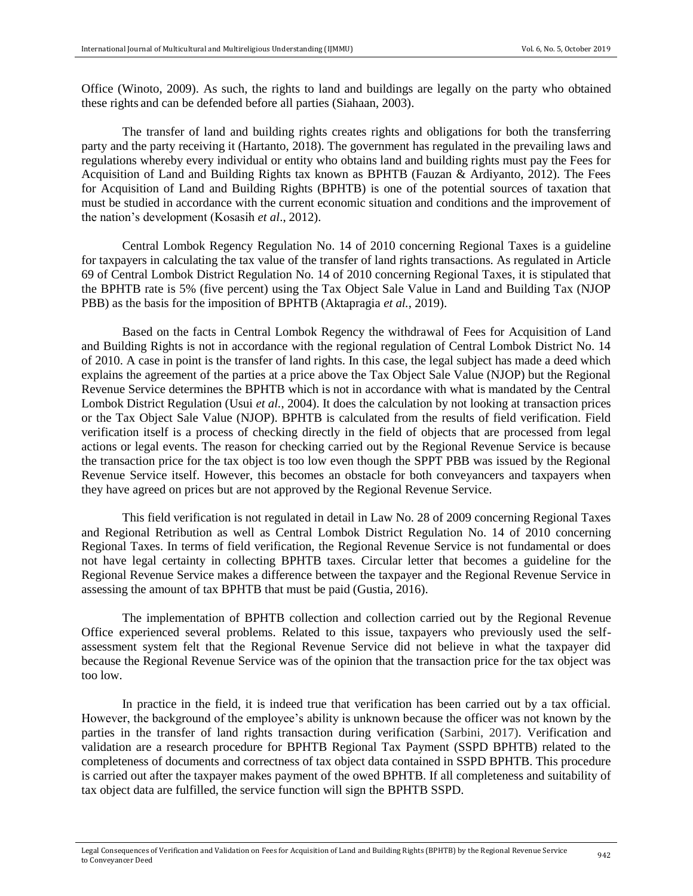Office (Winoto, 2009). As such, the rights to land and buildings are legally on the party who obtained these rights and can be defended before all parties (Siahaan, 2003).

The transfer of land and building rights creates rights and obligations for both the transferring party and the party receiving it (Hartanto, 2018). The government has regulated in the prevailing laws and regulations whereby every individual or entity who obtains land and building rights must pay the Fees for Acquisition of Land and Building Rights tax known as BPHTB (Fauzan & Ardiyanto, 2012). The Fees for Acquisition of Land and Building Rights (BPHTB) is one of the potential sources of taxation that must be studied in accordance with the current economic situation and conditions and the improvement of the nation's development (Kosasih *et al*., 2012).

Central Lombok Regency Regulation No. 14 of 2010 concerning Regional Taxes is a guideline for taxpayers in calculating the tax value of the transfer of land rights transactions. As regulated in Article 69 of Central Lombok District Regulation No. 14 of 2010 concerning Regional Taxes, it is stipulated that the BPHTB rate is 5% (five percent) using the Tax Object Sale Value in Land and Building Tax (NJOP PBB) as the basis for the imposition of BPHTB (Aktapragia *et al.*, 2019).

Based on the facts in Central Lombok Regency the withdrawal of Fees for Acquisition of Land and Building Rights is not in accordance with the regional regulation of Central Lombok District No. 14 of 2010. A case in point is the transfer of land rights. In this case, the legal subject has made a deed which explains the agreement of the parties at a price above the Tax Object Sale Value (NJOP) but the Regional Revenue Service determines the BPHTB which is not in accordance with what is mandated by the Central Lombok District Regulation (Usui *et al.*, 2004). It does the calculation by not looking at transaction prices or the Tax Object Sale Value (NJOP). BPHTB is calculated from the results of field verification. Field verification itself is a process of checking directly in the field of objects that are processed from legal actions or legal events. The reason for checking carried out by the Regional Revenue Service is because the transaction price for the tax object is too low even though the SPPT PBB was issued by the Regional Revenue Service itself. However, this becomes an obstacle for both conveyancers and taxpayers when they have agreed on prices but are not approved by the Regional Revenue Service.

This field verification is not regulated in detail in Law No. 28 of 2009 concerning Regional Taxes and Regional Retribution as well as Central Lombok District Regulation No. 14 of 2010 concerning Regional Taxes. In terms of field verification, the Regional Revenue Service is not fundamental or does not have legal certainty in collecting BPHTB taxes. Circular letter that becomes a guideline for the Regional Revenue Service makes a difference between the taxpayer and the Regional Revenue Service in assessing the amount of tax BPHTB that must be paid (Gustia, 2016).

The implementation of BPHTB collection and collection carried out by the Regional Revenue Office experienced several problems. Related to this issue, taxpayers who previously used the selfassessment system felt that the Regional Revenue Service did not believe in what the taxpayer did because the Regional Revenue Service was of the opinion that the transaction price for the tax object was too low.

In practice in the field, it is indeed true that verification has been carried out by a tax official. However, the background of the employee's ability is unknown because the officer was not known by the parties in the transfer of land rights transaction during verification (Sarbini, 2017). Verification and validation are a research procedure for BPHTB Regional Tax Payment (SSPD BPHTB) related to the completeness of documents and correctness of tax object data contained in SSPD BPHTB. This procedure is carried out after the taxpayer makes payment of the owed BPHTB. If all completeness and suitability of tax object data are fulfilled, the service function will sign the BPHTB SSPD.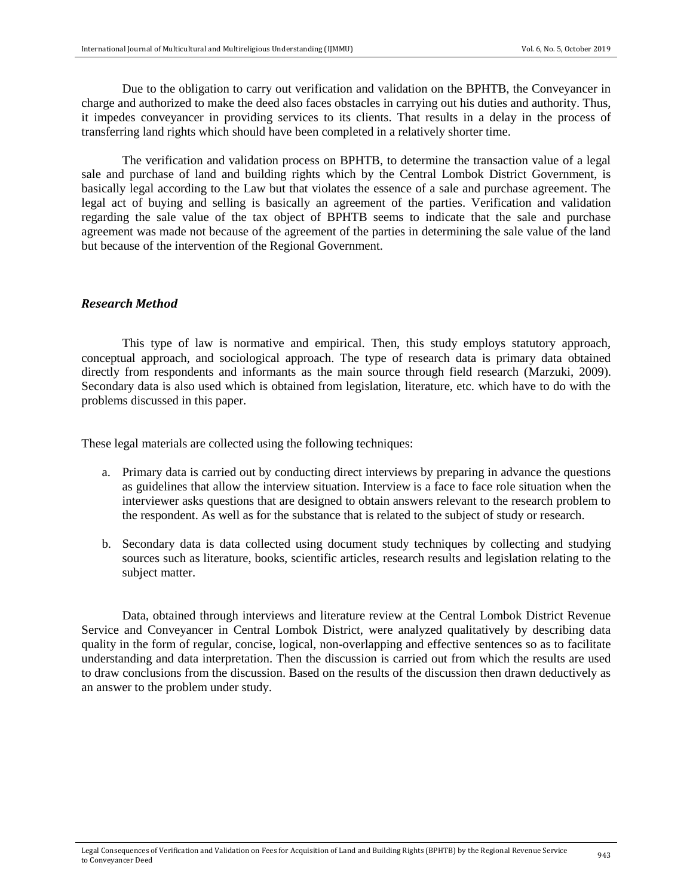Due to the obligation to carry out verification and validation on the BPHTB, the Conveyancer in charge and authorized to make the deed also faces obstacles in carrying out his duties and authority. Thus, it impedes conveyancer in providing services to its clients. That results in a delay in the process of transferring land rights which should have been completed in a relatively shorter time.

The verification and validation process on BPHTB, to determine the transaction value of a legal sale and purchase of land and building rights which by the Central Lombok District Government, is basically legal according to the Law but that violates the essence of a sale and purchase agreement. The legal act of buying and selling is basically an agreement of the parties. Verification and validation regarding the sale value of the tax object of BPHTB seems to indicate that the sale and purchase agreement was made not because of the agreement of the parties in determining the sale value of the land but because of the intervention of the Regional Government.

#### *Research Method*

This type of law is normative and empirical. Then, this study employs statutory approach, conceptual approach, and sociological approach. The type of research data is primary data obtained directly from respondents and informants as the main source through field research (Marzuki, 2009). Secondary data is also used which is obtained from legislation, literature, etc. which have to do with the problems discussed in this paper.

These legal materials are collected using the following techniques:

- a. Primary data is carried out by conducting direct interviews by preparing in advance the questions as guidelines that allow the interview situation. Interview is a face to face role situation when the interviewer asks questions that are designed to obtain answers relevant to the research problem to the respondent. As well as for the substance that is related to the subject of study or research.
- b. Secondary data is data collected using document study techniques by collecting and studying sources such as literature, books, scientific articles, research results and legislation relating to the subject matter.

Data, obtained through interviews and literature review at the Central Lombok District Revenue Service and Conveyancer in Central Lombok District, were analyzed qualitatively by describing data quality in the form of regular, concise, logical, non-overlapping and effective sentences so as to facilitate understanding and data interpretation. Then the discussion is carried out from which the results are used to draw conclusions from the discussion. Based on the results of the discussion then drawn deductively as an answer to the problem under study.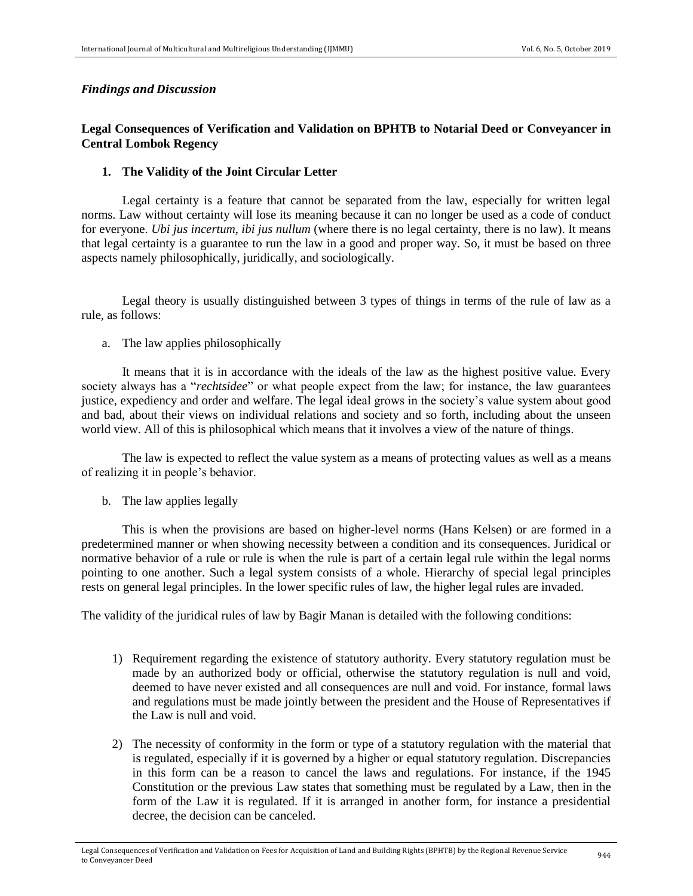#### *Findings and Discussion*

## **Legal Consequences of Verification and Validation on BPHTB to Notarial Deed or Conveyancer in Central Lombok Regency**

#### **1. The Validity of the Joint Circular Letter**

Legal certainty is a feature that cannot be separated from the law, especially for written legal norms. Law without certainty will lose its meaning because it can no longer be used as a code of conduct for everyone. *Ubi jus incertum, ibi jus nullum* (where there is no legal certainty, there is no law). It means that legal certainty is a guarantee to run the law in a good and proper way. So, it must be based on three aspects namely philosophically, juridically, and sociologically.

Legal theory is usually distinguished between 3 types of things in terms of the rule of law as a rule, as follows:

a. The law applies philosophically

It means that it is in accordance with the ideals of the law as the highest positive value. Every society always has a "*rechtsidee*" or what people expect from the law; for instance, the law guarantees justice, expediency and order and welfare. The legal ideal grows in the society's value system about good and bad, about their views on individual relations and society and so forth, including about the unseen world view. All of this is philosophical which means that it involves a view of the nature of things.

The law is expected to reflect the value system as a means of protecting values as well as a means of realizing it in people's behavior.

b. The law applies legally

This is when the provisions are based on higher-level norms (Hans Kelsen) or are formed in a predetermined manner or when showing necessity between a condition and its consequences. Juridical or normative behavior of a rule or rule is when the rule is part of a certain legal rule within the legal norms pointing to one another. Such a legal system consists of a whole. Hierarchy of special legal principles rests on general legal principles. In the lower specific rules of law, the higher legal rules are invaded.

The validity of the juridical rules of law by Bagir Manan is detailed with the following conditions:

- 1) Requirement regarding the existence of statutory authority. Every statutory regulation must be made by an authorized body or official, otherwise the statutory regulation is null and void, deemed to have never existed and all consequences are null and void. For instance, formal laws and regulations must be made jointly between the president and the House of Representatives if the Law is null and void.
- 2) The necessity of conformity in the form or type of a statutory regulation with the material that is regulated, especially if it is governed by a higher or equal statutory regulation. Discrepancies in this form can be a reason to cancel the laws and regulations. For instance, if the 1945 Constitution or the previous Law states that something must be regulated by a Law, then in the form of the Law it is regulated. If it is arranged in another form, for instance a presidential decree, the decision can be canceled.

Legal Consequences of Verification and Validation on Fees for Acquisition of Land and Building Rights (BPHTB) by the Regional Revenue Service  $\hphantom{\mu_{\rmfty}}944$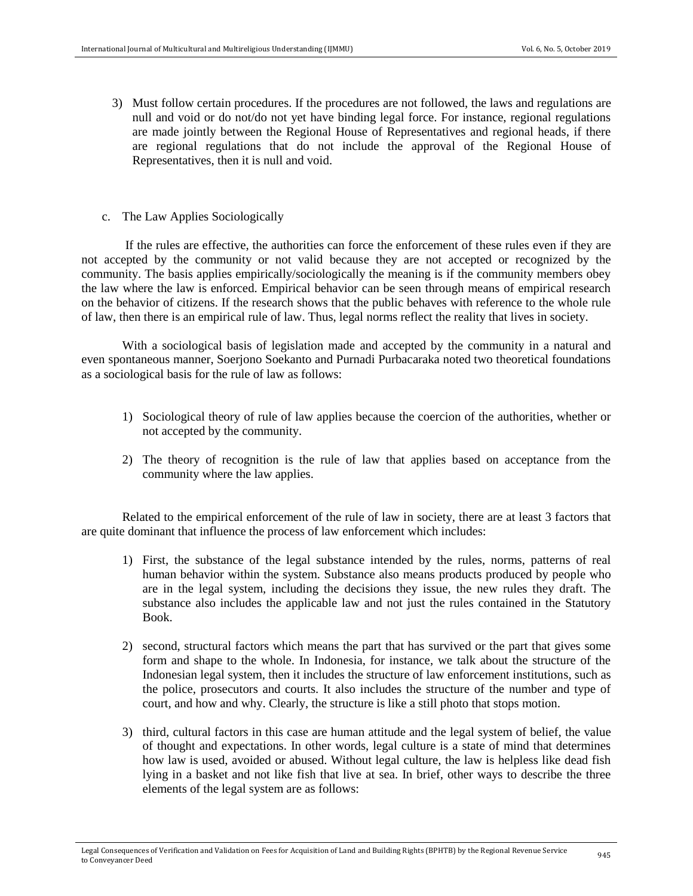- 3) Must follow certain procedures. If the procedures are not followed, the laws and regulations are null and void or do not/do not yet have binding legal force. For instance, regional regulations are made jointly between the Regional House of Representatives and regional heads, if there are regional regulations that do not include the approval of the Regional House of Representatives, then it is null and void.
- c. The Law Applies Sociologically

If the rules are effective, the authorities can force the enforcement of these rules even if they are not accepted by the community or not valid because they are not accepted or recognized by the community. The basis applies empirically/sociologically the meaning is if the community members obey the law where the law is enforced. Empirical behavior can be seen through means of empirical research on the behavior of citizens. If the research shows that the public behaves with reference to the whole rule of law, then there is an empirical rule of law. Thus, legal norms reflect the reality that lives in society.

With a sociological basis of legislation made and accepted by the community in a natural and even spontaneous manner, Soerjono Soekanto and Purnadi Purbacaraka noted two theoretical foundations as a sociological basis for the rule of law as follows:

- 1) Sociological theory of rule of law applies because the coercion of the authorities, whether or not accepted by the community.
- 2) The theory of recognition is the rule of law that applies based on acceptance from the community where the law applies.

Related to the empirical enforcement of the rule of law in society, there are at least 3 factors that are quite dominant that influence the process of law enforcement which includes:

- 1) First, the substance of the legal substance intended by the rules, norms, patterns of real human behavior within the system. Substance also means products produced by people who are in the legal system, including the decisions they issue, the new rules they draft. The substance also includes the applicable law and not just the rules contained in the Statutory Book.
- 2) second, structural factors which means the part that has survived or the part that gives some form and shape to the whole. In Indonesia, for instance, we talk about the structure of the Indonesian legal system, then it includes the structure of law enforcement institutions, such as the police, prosecutors and courts. It also includes the structure of the number and type of court, and how and why. Clearly, the structure is like a still photo that stops motion.
- 3) third, cultural factors in this case are human attitude and the legal system of belief, the value of thought and expectations. In other words, legal culture is a state of mind that determines how law is used, avoided or abused. Without legal culture, the law is helpless like dead fish lying in a basket and not like fish that live at sea. In brief, other ways to describe the three elements of the legal system are as follows: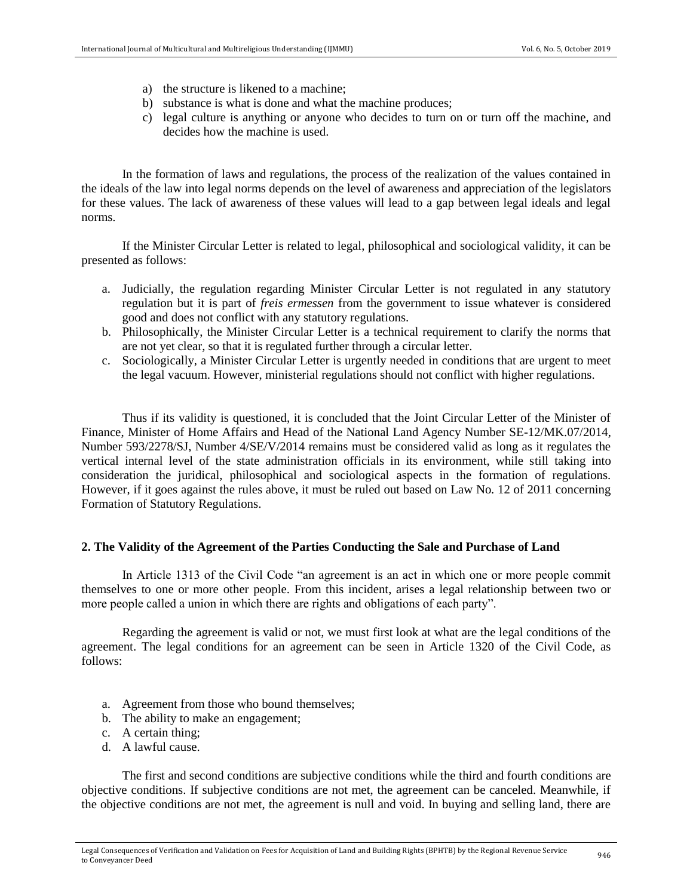- a) the structure is likened to a machine;
- b) substance is what is done and what the machine produces;
- c) legal culture is anything or anyone who decides to turn on or turn off the machine, and decides how the machine is used.

In the formation of laws and regulations, the process of the realization of the values contained in the ideals of the law into legal norms depends on the level of awareness and appreciation of the legislators for these values. The lack of awareness of these values will lead to a gap between legal ideals and legal norms.

If the Minister Circular Letter is related to legal, philosophical and sociological validity, it can be presented as follows:

- a. Judicially, the regulation regarding Minister Circular Letter is not regulated in any statutory regulation but it is part of *freis ermessen* from the government to issue whatever is considered good and does not conflict with any statutory regulations.
- b. Philosophically, the Minister Circular Letter is a technical requirement to clarify the norms that are not yet clear, so that it is regulated further through a circular letter.
- c. Sociologically, a Minister Circular Letter is urgently needed in conditions that are urgent to meet the legal vacuum. However, ministerial regulations should not conflict with higher regulations.

Thus if its validity is questioned, it is concluded that the Joint Circular Letter of the Minister of Finance, Minister of Home Affairs and Head of the National Land Agency Number SE-12/MK.07/2014, Number 593/2278/SJ, Number 4/SE/V/2014 remains must be considered valid as long as it regulates the vertical internal level of the state administration officials in its environment, while still taking into consideration the juridical, philosophical and sociological aspects in the formation of regulations. However, if it goes against the rules above, it must be ruled out based on Law No. 12 of 2011 concerning Formation of Statutory Regulations.

## **2. The Validity of the Agreement of the Parties Conducting the Sale and Purchase of Land**

In Article 1313 of the Civil Code "an agreement is an act in which one or more people commit themselves to one or more other people. From this incident, arises a legal relationship between two or more people called a union in which there are rights and obligations of each party".

Regarding the agreement is valid or not, we must first look at what are the legal conditions of the agreement. The legal conditions for an agreement can be seen in Article 1320 of the Civil Code, as follows:

- a. Agreement from those who bound themselves;
- b. The ability to make an engagement;
- c. A certain thing;
- d. A lawful cause.

The first and second conditions are subjective conditions while the third and fourth conditions are objective conditions. If subjective conditions are not met, the agreement can be canceled. Meanwhile, if the objective conditions are not met, the agreement is null and void. In buying and selling land, there are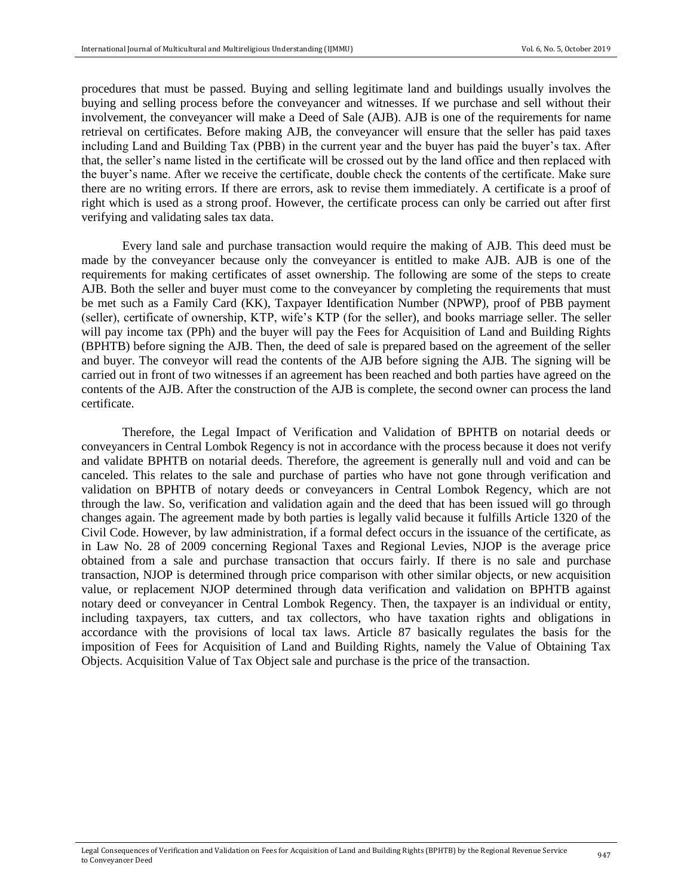procedures that must be passed. Buying and selling legitimate land and buildings usually involves the buying and selling process before the conveyancer and witnesses. If we purchase and sell without their involvement, the conveyancer will make a Deed of Sale (AJB). AJB is one of the requirements for name retrieval on certificates. Before making AJB, the conveyancer will ensure that the seller has paid taxes including Land and Building Tax (PBB) in the current year and the buyer has paid the buyer's tax. After that, the seller's name listed in the certificate will be crossed out by the land office and then replaced with the buyer's name. After we receive the certificate, double check the contents of the certificate. Make sure there are no writing errors. If there are errors, ask to revise them immediately. A certificate is a proof of right which is used as a strong proof. However, the certificate process can only be carried out after first verifying and validating sales tax data.

Every land sale and purchase transaction would require the making of AJB. This deed must be made by the conveyancer because only the conveyancer is entitled to make AJB. AJB is one of the requirements for making certificates of asset ownership. The following are some of the steps to create AJB. Both the seller and buyer must come to the conveyancer by completing the requirements that must be met such as a Family Card (KK), Taxpayer Identification Number (NPWP), proof of PBB payment (seller), certificate of ownership, KTP, wife's KTP (for the seller), and books marriage seller. The seller will pay income tax (PPh) and the buyer will pay the Fees for Acquisition of Land and Building Rights (BPHTB) before signing the AJB. Then, the deed of sale is prepared based on the agreement of the seller and buyer. The conveyor will read the contents of the AJB before signing the AJB. The signing will be carried out in front of two witnesses if an agreement has been reached and both parties have agreed on the contents of the AJB. After the construction of the AJB is complete, the second owner can process the land certificate.

Therefore, the Legal Impact of Verification and Validation of BPHTB on notarial deeds or conveyancers in Central Lombok Regency is not in accordance with the process because it does not verify and validate BPHTB on notarial deeds. Therefore, the agreement is generally null and void and can be canceled. This relates to the sale and purchase of parties who have not gone through verification and validation on BPHTB of notary deeds or conveyancers in Central Lombok Regency, which are not through the law. So, verification and validation again and the deed that has been issued will go through changes again. The agreement made by both parties is legally valid because it fulfills Article 1320 of the Civil Code. However, by law administration, if a formal defect occurs in the issuance of the certificate, as in Law No. 28 of 2009 concerning Regional Taxes and Regional Levies, NJOP is the average price obtained from a sale and purchase transaction that occurs fairly. If there is no sale and purchase transaction, NJOP is determined through price comparison with other similar objects, or new acquisition value, or replacement NJOP determined through data verification and validation on BPHTB against notary deed or conveyancer in Central Lombok Regency. Then, the taxpayer is an individual or entity, including taxpayers, tax cutters, and tax collectors, who have taxation rights and obligations in accordance with the provisions of local tax laws. Article 87 basically regulates the basis for the imposition of Fees for Acquisition of Land and Building Rights, namely the Value of Obtaining Tax Objects. Acquisition Value of Tax Object sale and purchase is the price of the transaction.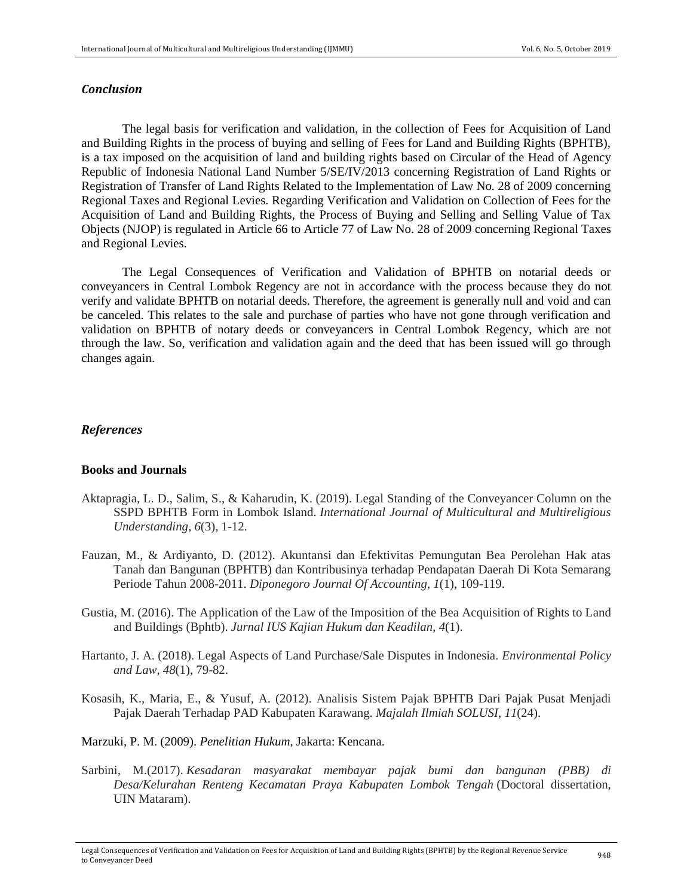#### *Conclusion*

The legal basis for verification and validation, in the collection of Fees for Acquisition of Land and Building Rights in the process of buying and selling of Fees for Land and Building Rights (BPHTB), is a tax imposed on the acquisition of land and building rights based on Circular of the Head of Agency Republic of Indonesia National Land Number 5/SE/IV/2013 concerning Registration of Land Rights or Registration of Transfer of Land Rights Related to the Implementation of Law No. 28 of 2009 concerning Regional Taxes and Regional Levies. Regarding Verification and Validation on Collection of Fees for the Acquisition of Land and Building Rights, the Process of Buying and Selling and Selling Value of Tax Objects (NJOP) is regulated in Article 66 to Article 77 of Law No. 28 of 2009 concerning Regional Taxes and Regional Levies.

The Legal Consequences of Verification and Validation of BPHTB on notarial deeds or conveyancers in Central Lombok Regency are not in accordance with the process because they do not verify and validate BPHTB on notarial deeds. Therefore, the agreement is generally null and void and can be canceled. This relates to the sale and purchase of parties who have not gone through verification and validation on BPHTB of notary deeds or conveyancers in Central Lombok Regency, which are not through the law. So, verification and validation again and the deed that has been issued will go through changes again.

#### *References*

#### **Books and Journals**

- Aktapragia, L. D., Salim, S., & Kaharudin, K. (2019). Legal Standing of the Conveyancer Column on the SSPD BPHTB Form in Lombok Island. *International Journal of Multicultural and Multireligious Understanding*, *6*(3), 1-12.
- Fauzan, M., & Ardiyanto, D. (2012). Akuntansi dan Efektivitas Pemungutan Bea Perolehan Hak atas Tanah dan Bangunan (BPHTB) dan Kontribusinya terhadap Pendapatan Daerah Di Kota Semarang Periode Tahun 2008-2011. *Diponegoro Journal Of Accounting*, *1*(1), 109-119.
- Gustia, M. (2016). The Application of the Law of the Imposition of the Bea Acquisition of Rights to Land and Buildings (Bphtb). *Jurnal IUS Kajian Hukum dan Keadilan*, *4*(1).
- Hartanto, J. A. (2018). Legal Aspects of Land Purchase/Sale Disputes in Indonesia. *Environmental Policy and Law*, *48*(1), 79-82.
- Kosasih, K., Maria, E., & Yusuf, A. (2012). Analisis Sistem Pajak BPHTB Dari Pajak Pusat Menjadi Pajak Daerah Terhadap PAD Kabupaten Karawang. *Majalah Ilmiah SOLUSI*, *11*(24).
- Marzuki, P. M. (2009). *Penelitian Hukum*, Jakarta: Kencana.
- Sarbini, M.(2017). *Kesadaran masyarakat membayar pajak bumi dan bangunan (PBB) di Desa/Kelurahan Renteng Kecamatan Praya Kabupaten Lombok Tengah* (Doctoral dissertation, UIN Mataram).